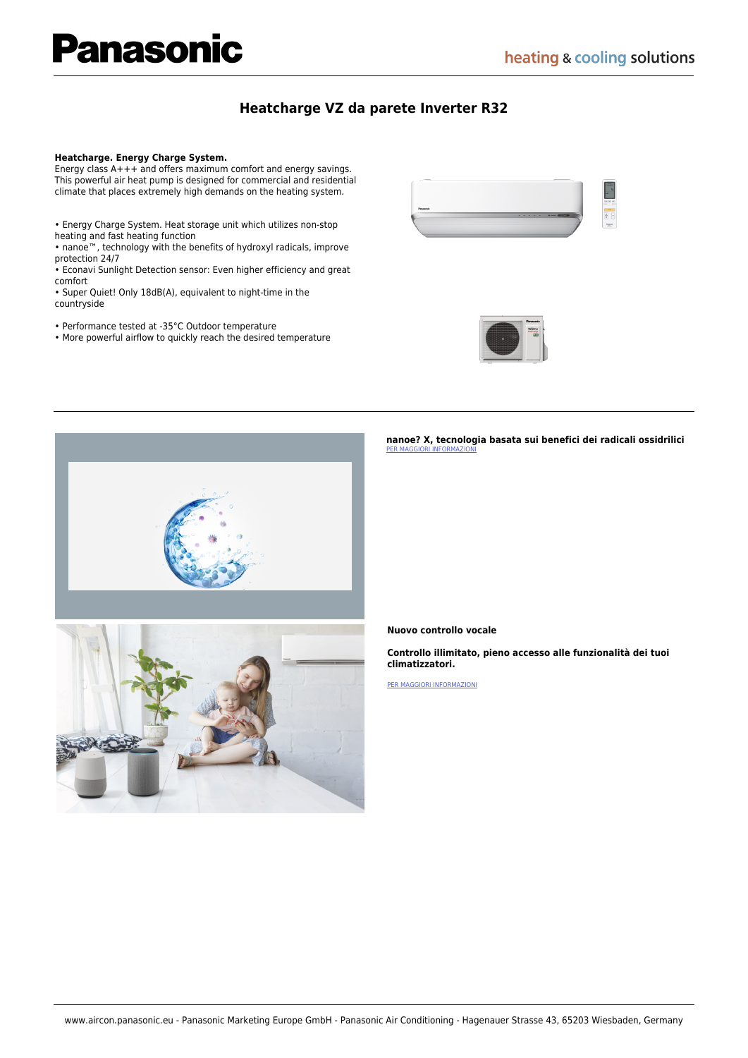# **anasonic**

### **[Heatcharge VZ da parete Inverter R32](https://www.aircon.panasonic.eu/IT_it/product/heatcharge-vz-inverter-r32/)**

#### **Heatcharge. Energy Charge System.**

Energy class A+++ and offers maximum comfort and energy savings. This powerful air heat pump is designed for commercial and residential climate that places extremely high demands on the heating system.

- Energy Charge System. Heat storage unit which utilizes non-stop heating and fast heating function
- nanoe™, technology with the benefits of hydroxyl radicals, improve protection 24/7
- Econavi Sunlight Detection sensor: Even higher efficiency and great comfort
- Super Quiet! Only 18dB(A), equivalent to night-time in the countryside
- Performance tested at -35°C Outdoor temperature
- More powerful airflow to quickly reach the desired temperature







**nanoe? X, tecnologia basata sui benefici dei radicali ossidrilici**  [PER MAGGIORI INFORMAZIONI](https://www.aircon.panasonic.eu/IT_it/happening/nanoe-x-quality-air-for-life/)

#### **Nuovo controllo vocale**

**Controllo illimitato, pieno accesso alle funzionalità dei tuoi climatizzatori.** 

[PER MAGGIORI INFORMAZIONI](https://www.aircon.panasonic.eu/_____/happening/new-voice-control/)